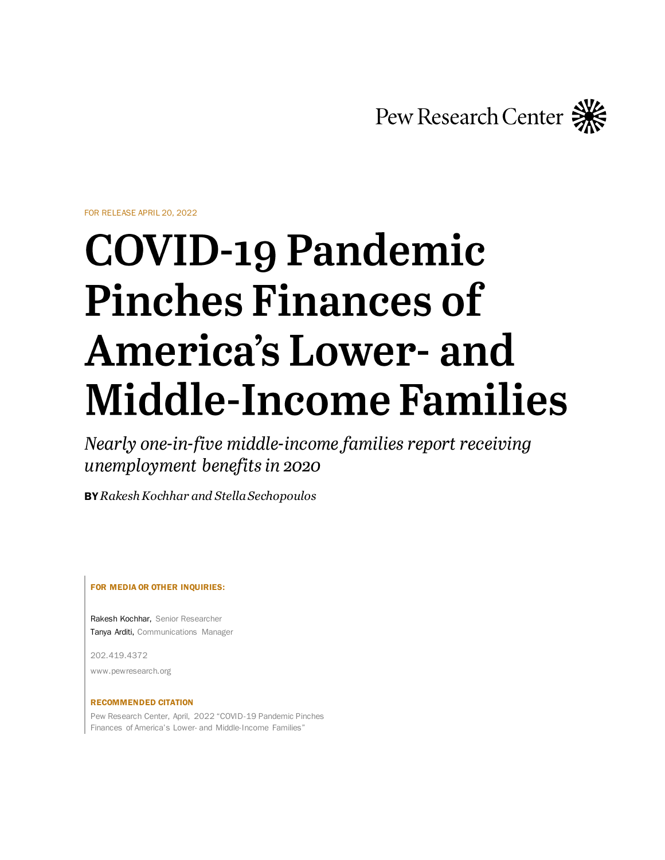Pew Research Center

FOR RELEASE APRIL 20, 2022

# **COVID-19 Pandemic Pinches Finances of America's Lower- and Middle-Income Families**

Nearly one-in-five middle-income families report receiving unemployment benefits in 2020

BY *Rakesh Kochhar and Stella Sechopoulos*

FOR MEDIA OR OTHER INQUIRIES:

Rakesh Kochhar, Senior Researcher Tanya Arditi, Communications Manager

202.419.4372 www.pewresearch.org

#### RECOMMENDED CITATION

Pew Research Center, April, 2022 "COVID-19 Pandemic Pinches Finances of America's Lower- and Middle-Income Families"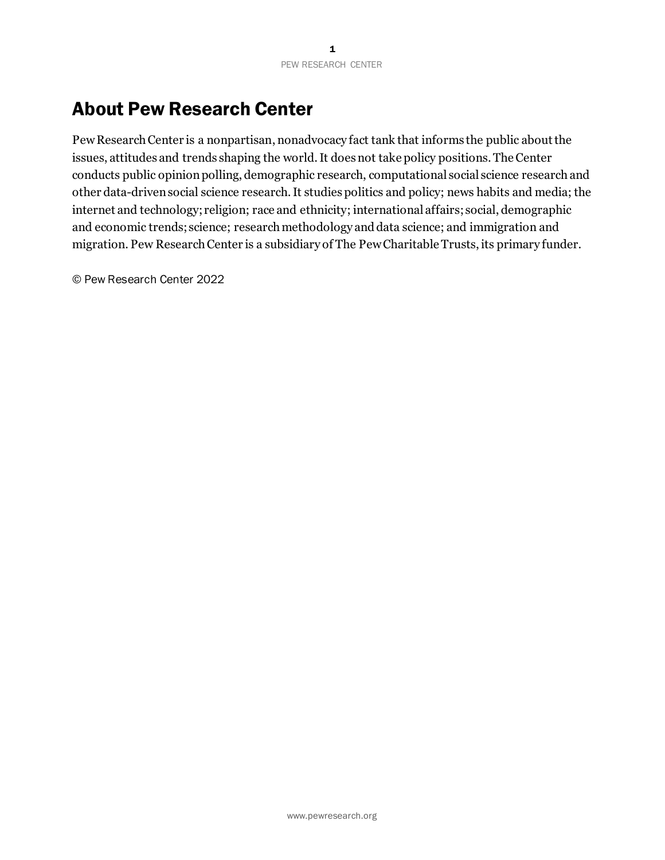# About Pew Research Center

Pew Research Center is a nonpartisan, nonadvocacy fact tank that informs the public about the issues, attitudes and trends shaping the world. It does not take policy positions. The Center conducts public opinion polling, demographic research, computational social science research and other data-driven social science research. It studies politics and policy; news habits and media; the internet and technology; religion; race and ethnicity; international affairs; social, demographic and economic trends; science; research methodology and data science; and immigration and migration. Pew Research Center is a subsidiary of The Pew Charitable Trusts, its primary funder.

© Pew Research Center 2022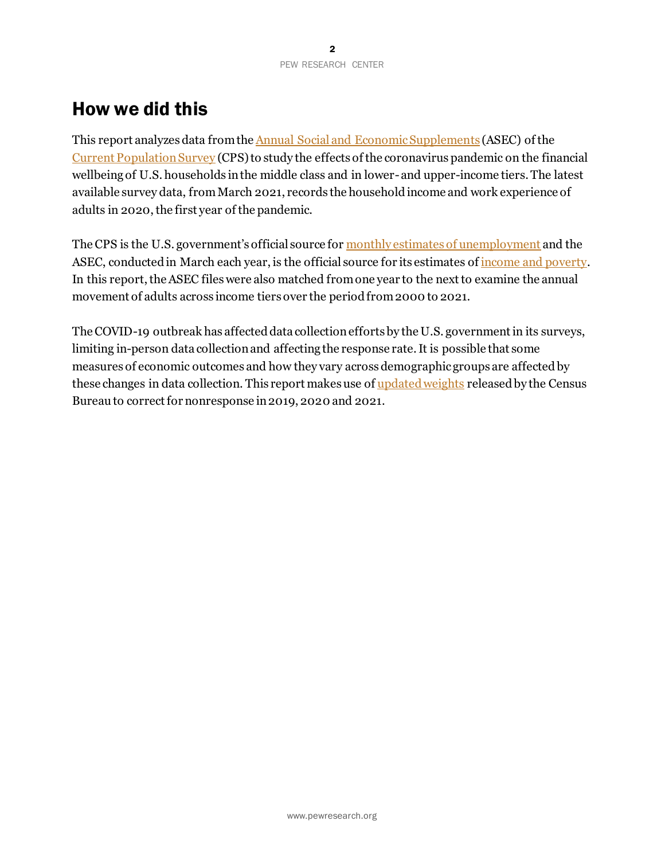# How we did this

This report analyzes data from th[e Annual Social and Economic Supplements](https://www.census.gov/programs-surveys/cps/data/datasets.html) (ASEC) of the [Current Population Survey](https://www.census.gov/programs-surveys/cps.html) (CPS) to study the effects of the coronavirus pandemic on the financial wellbeing of U.S. households in the middle class and in lower- and upper-income tiers. The latest available survey data, fromMarch 2021, records the household income and work experience of adults in 2020, the first year of the pandemic.

The CPS is the U.S. government's official source for [monthly estimates of unemployment](https://www.bls.gov/cps/) and the ASEC, conducted in March each year, is the official source for its estimates o[f income and poverty.](https://www.census.gov/library/publications/2021/demo/p60-273.html) In this report, the ASEC files were also matched from one year to the next to examine the annual movement of adults across income tiers over the period from 2000 to 2021.

The COVID-19 outbreak has affected data collection efforts by the U.S. government in its surveys, limiting in-person data collection and affecting the response rate. It is possible that some measures of economic outcomes and how they vary across demographic groups are affected by these changes in data collection. This report makes use o[f updated weights](https://www.census.gov/data/datasets/2020/demo/cps/2020-pub-use-adj-nonresp-corono-pandemic.html) released by the Census Bureau to correct for nonresponse in 2019, 2020 and 2021.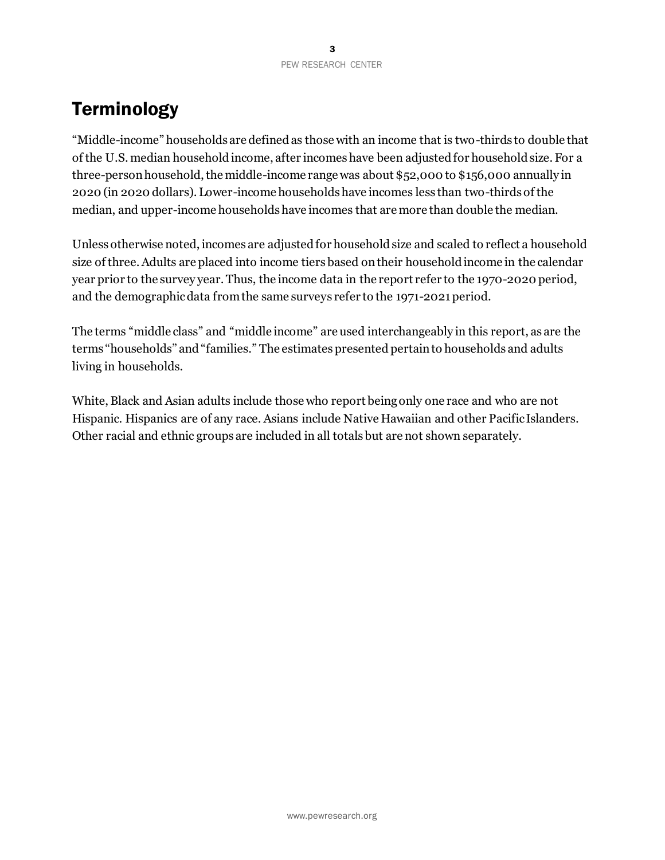# **Terminology**

"Middle-income" households are defined as those with an income that is two-thirds to double that of the U.S. median household income, after incomes have been adjusted for household size. For a three-person household, the middle-income range was about \$52,000 to \$156,000 annually in 2020 (in 2020 dollars). Lower-income households have incomes less than two-thirds of the median, and upper-income households have incomes that are more than double the median.

Unless otherwise noted, incomes are adjusted for household size and scaled to reflect a household size of three. Adults are placed into income tiers based on their household income in the calendar year prior to the survey year. Thus, the income data in the report refer to the 1970-2020 period, and the demographic data from the same surveys refer to the 1971-2021 period.

The terms "middle class" and "middle income" are used interchangeably in this report, as are the terms "households" and "families." The estimates presented pertain to households and adults living in households.

White, Black and Asian adults include those who report being only one race and who are not Hispanic. Hispanics are of any race. Asians include Native Hawaiian and other Pacific Islanders. Other racial and ethnic groups are included in all totals but are not shown separately.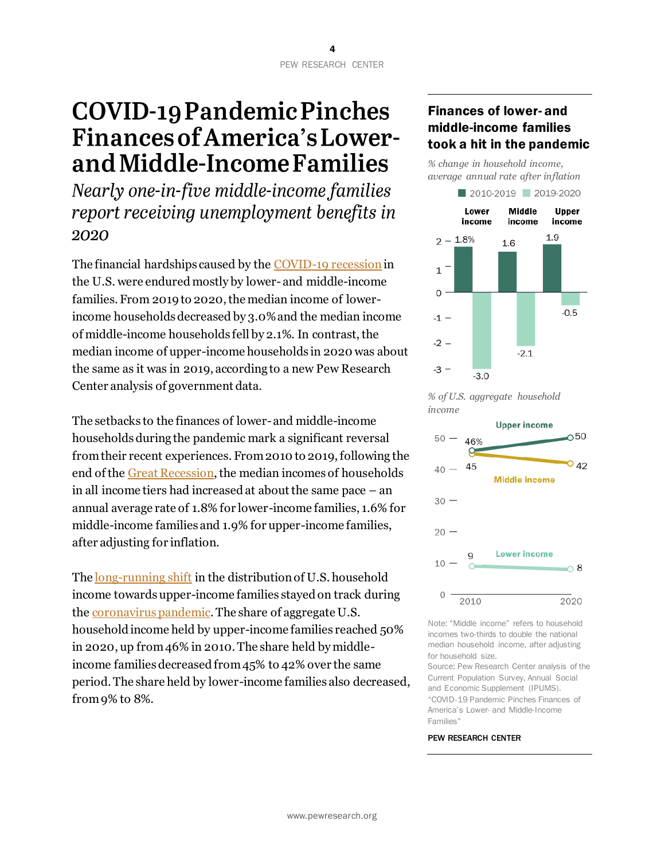# **COVID-19 Pandemic Pinches Finances of America's Lower**and Middle-Income Families

Nearly one-in-five middle-income families report receiving unemployment benefits in 2020

The financial hardships caused by the [COVID-19 recession](https://www.pewresearch.org/topic/economy-work/covid-19-the-economy/)in the U.S. were endured mostly by lower- and middle-income families. From 2019 to 2020, the median income of lowerincome households decreased by 3.0% and the median income of middle-income households fell by 2.1%. In contrast, the median income of upper-income households in 2020 was about the same as it was in 2019, according to a new Pew Research Center analysis of government data.

The setbacks to the finances of lower-and middle-income households during the pandemic mark a significant reversal from their recent experiences. From 2010 to 2019, following the end of th[e Great Recession,](https://www.pewresearch.org/social-trends/2019/12/13/two-recessions-two-recoveries-2/) the median incomes of households in all income tiers had increased at about the same pace  $-$  an annual average rate of 1.8% for lower-income families, 1.6% for middle-income families and 1.9% for upper-income families, after adjusting for inflation.

The [long-running shift](https://www.pewresearch.org/social-trends/2015/12/09/the-american-middle-class-is-losing-ground/) in the distribution of U.S. household income towards upper-income families stayed on track during the [coronavirus pandemic.](https://www.pewresearch.org/topic/coronavirus-disease-covid-19/) The share of aggregate U.S. household income held by upper-income families reached 50% in 2020, up from 46% in 2010. The share held by middleincome families decreased from 45% to 42% over the same period. The share held by lower-income families also decreased, from 9% to 8%.

# Finances of lower- and middle-income families took a hit in the pandemic

*% change in household income, average annual rate after inflation*







Note: "Middle income" refers to household incomes two-thirds to double the national median household income, after adjusting for household size.

Source: Pew Research Center analysis of the Current Population Survey, Annual Social and Economic Supplement (IPUMS). "COVID-19 Pandemic Pinches Finances of America's Lower- and Middle-Income Families"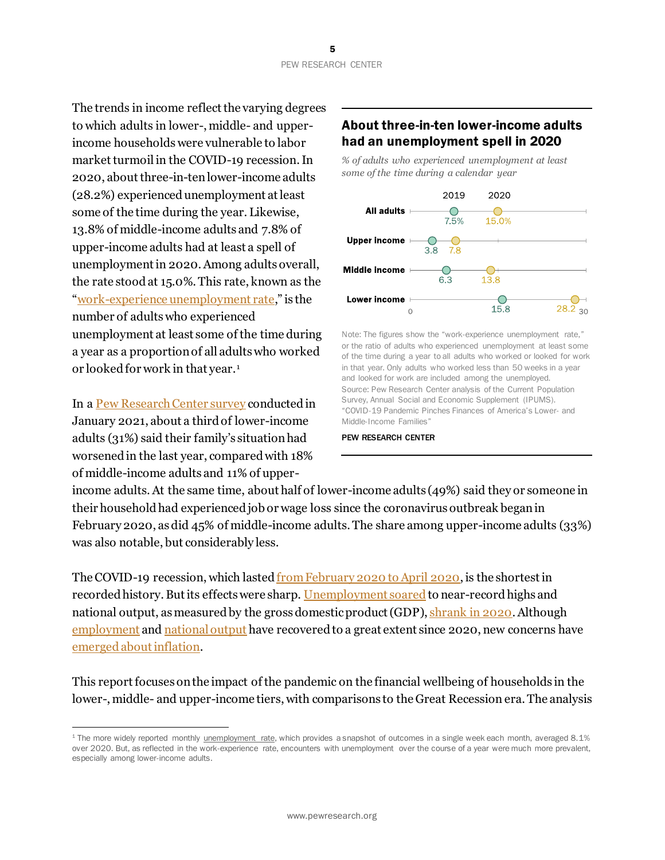The trends in income reflect the varying degrees to which adults in lower-, middle- and upperincome households were vulnerable to labor market turmoil in the COVID-19 recession. In 2020, about three-in-ten lower-income adults (28.2%) experienced unemployment at least some of the time during the year. Likewise, 13.8% of middle-income adults and 7.8% of upper-income adults had at least a spell of unemployment in 2020. Among adults overall, the rate stood at 15.0%. This rate, known as the "[work-experience unemployment rate](https://www.bls.gov/news.release/work.toc.htm)," is the number of adults who experienced unemployment at least some of the time during a year as a proportion of all adults who worked or looked for work in that year.<sup>1</sup>

In a [Pew Research Center survey](https://www.pewresearch.org/social-trends/2021/03/05/a-year-into-the-pandemic-long-term-financial-impact-weighs-heavily-on-many-americans/) conducted in January 2021, about a third of lower-income adults (31%) said their family's situation had worsened in the last year, compared with 18% of middle-income adults and 11% of upper-

### About three-in-ten lower-income adults had an unemployment spell in 2020

*% of adults who experienced unemployment at least some of the time during a calendar year*



Note: The figures show the "work-experience unemployment rate," or the ratio of adults who experienced unemployment at least some of the time during a year to all adults who worked or looked for work in that year. Only adults who worked less than 50 weeks in a year and looked for work are included among the unemployed. Source: Pew Research Center analysis of the Current Population Survey, Annual Social and Economic Supplement (IPUMS). "COVID-19 Pandemic Pinches Finances of America's Lower- and Middle-Income Families"

#### PEW RESEARCH CENTER

income adults. At the same time, about half of lower-income adults (49%) said they or someone in their household had experienced job or wage loss since the coronavirus outbreak began in February 2020, as did 45% of middle-income adults. The share among upper-income adults (33%) was also notable, but considerably less.

The COVID-19 recession, which lasted [from February](https://www.nber.org/research/data/us-business-cycle-expansions-and-contractions) 2020 to April 2020, is the shortest in recorded history. But its effects were sharp[. Unemployment soared](https://www.pewresearch.org/fact-tank/2020/06/11/unemployment-rose-higher-in-three-months-of-covid-19-than-it-did-in-two-years-of-the-great-recession/) to near-record highs and national output, as measured by the gross domestic product (GDP), [shrank in 2020.](https://www.bea.gov/news/2021/gross-domestic-product-third-estimate-gdp-industry-and-corporate-profits-4th-quarter-and) Although [employment](https://www.bls.gov/charts/employment-situation/civilian-employment.htm) an[d national output](https://www.bea.gov/news/2022/gross-domestic-product-fourth-quarter-and-year-2021-second-estimate) have recovered to a great extent since 2020, new concerns have [emerged about inflation.](https://www.pewresearch.org/fact-tank/2021/11/24/inflation-has-risen-around-the-world-but-the-u-s-has-seen-one-of-the-biggest-increases/)

This report focuses on the impact of the pandemic on the financial wellbeing of households in the lower-, middle- and upper-income tiers, with comparisons to the Great Recession era. The analysis

<sup>&</sup>lt;sup>1</sup> The more widely reported monthly [unemployment rate,](https://www.bls.gov/news.release/empsit.nr0.htm) which provides a snapshot of outcomes in a single week each month, averaged 8.1% over 2020. But, as reflected in the work-experience rate, encounters with unemployment over the course of a year were much more prevalent, especially among lower-income adults.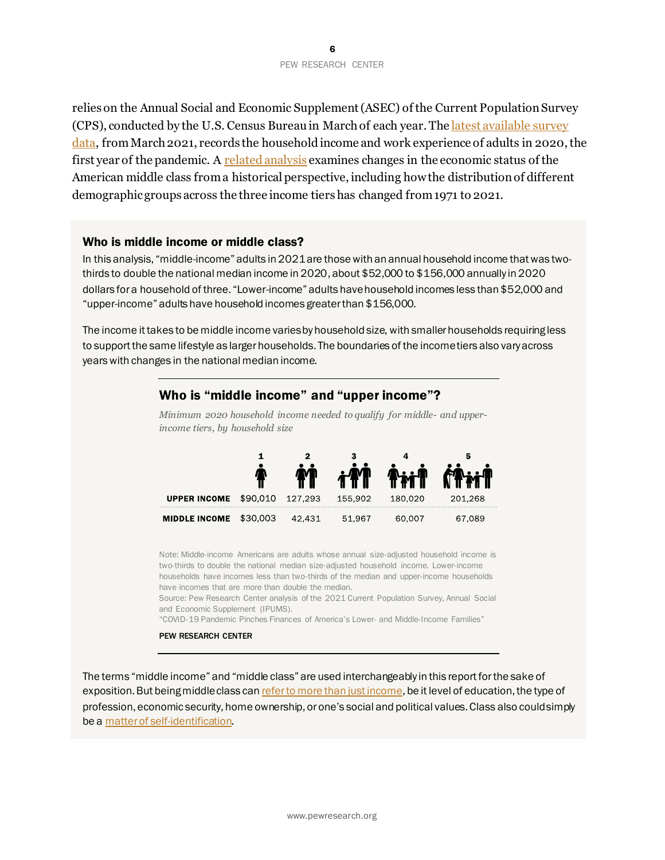relies on the Annual Social and Economic Supplement (ASEC) of the Current Population Survey (CPS), conducted by the U.S. Census Bureau in March of each year. Th[e latest available survey](https://www.census.gov/data/datasets/time-series/demo/cps/cps-asec.html) [data,](https://www.census.gov/data/datasets/time-series/demo/cps/cps-asec.html) fromMarch 2021, records the household income and work experience of adults in 2020, the first year of the pandemic. A [related analysis](https://www.pewresearch.org/fact-tank/2022/04/20/how-the-american-middle-class-has-changed-in-the-past-five-decades/) examines changes in the economic status of the American middle class from a historical perspective, including how the distribution of different demographic groups across the three income tiers has changed from 1971 to 2021.

#### Who is middle income or middle class?

In this analysis, "middle-income" adults in 2021 are those with an annual household income that was twothirds to double the national median income in 2020, about \$52,000 to \$156,000 annually in 2020 dollars for a household of three. "Lower-income" adults have household incomes less than \$52,000 and "upper-income" adults have household incomes greater than \$156,000.

The income it takes to be middle income varies by household size, with smaller households requiring less to support the same lifestyle as larger households. The boundaries of the income tiers also vary across years with changes in the national median income.

#### Who is "middle income" and "upper income"?

*income tiers, by household size*  $\mathbf{1}$ 

*Minimum 2020 household income needed to qualify for middle- and upper-*



Note: Middle-income Americans are adults whose annual size-adjusted household income is two-thirds to double the national median size-adjusted household income. Lower-income households have incomes less than two-thirds of the median and upper-income households have incomes that are more than double the median.

Source: Pew Research Center analysis of the 2021 Current Population Survey, Annual Social and Economic Supplement (IPUMS).

"COVID-19 Pandemic Pinches Finances of America's Lower- and Middle-Income Families"

#### PEW RESEARCH CENTER

The terms "middle income" and "middle class" are used interchangeably in this report for the sake of exposition. But being middle class ca[n refer to more than just income](https://journals.sagepub.com/doi/full/10.1177/0038038513481128), be it level of education, the type of profession, economic security, home ownership, or one's social and political values. Class also couldsimply be a [matter of self-identification](https://www.pewresearch.org/social-trends/2008/04/09/inside-the-middle-class-bad-times-hit-the-good-life/).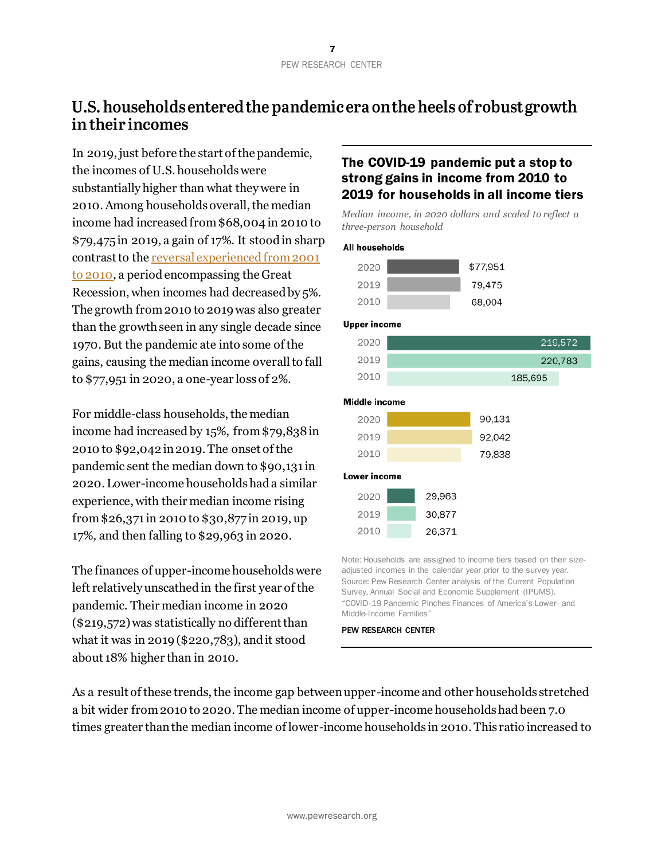# U.S. households entered the pandemic era on the heels of robust growth in their incomes

In 2019, just before the start of the pandemic, the incomes of U.S. households were substantially higher than what they were in 2010. Among households overall, the median income had increased from \$68,004 in 2010 to \$79,475 in 2019, a gain of 17%. It stood in sharp contrast to th[e reversal experienced from 2001](https://www.pewresearch.org/social-trends/2015/12/09/4-middle-class-incomes-fall-further-behind-upper-tier-incomes/)  [to 2010,](https://www.pewresearch.org/social-trends/2015/12/09/4-middle-class-incomes-fall-further-behind-upper-tier-incomes/) a period encompassing the Great Recession, when incomes had decreased by 5%. The growth from 2010 to 2019 was also greater than the growth seen in any single decade since 1970. But the pandemic ate into some of the gains, causing the median income overall to fall to \$77,951 in 2020, a one-year loss of 2%.

For middle-class households, the median income had increased by 15%, from \$79,838 in 2010 to \$92,042 in 2019. The onset of the pandemic sent the median down to \$90,131 in 2020. Lower-income households had a similar experience, with their median income rising from \$26,371 in 2010 to \$30,877 in 2019, up 17%, and then falling to \$29,963 in 2020.

The finances of upper-income households were left relatively unscathed in the first year of the pandemic. Their median income in 2020 (\$219,572) was statistically no different than what it was in 2019 (\$220,783), and it stood about 18% higher than in 2010.

### The COVID-19 pandemic put a stop to strong gains in income from 2010 to 2019 for households in all income tiers

*Median income, in 2020 dollars and scaled to reflect a three-person household*

#### **All households**



#### **Upper income**

| 2020 | 219,572 |
|------|---------|
| 2019 | 220,783 |
| 2010 | 185,695 |

#### Middle income

| 2020 | 90,131 |
|------|--------|
| 2019 | 92,042 |
| 2010 | 79,838 |

#### Lower income

| 2020 | 29,963 |
|------|--------|
| 2019 | 30,877 |
| 2010 | 26.371 |

Note: Households are assigned to income tiers based on their sizeadjusted incomes in the calendar year prior to the survey year. Source: Pew Research Center analysis of the Current Population Survey, Annual Social and Economic Supplement (IPUMS). "COVID-19 Pandemic Pinches Finances of America's Lower- and Middle-Income Families"

PEW RESEARCH CENTER

As a result of these trends, the income gap between upper-income and other households stretched a bit wider from 2010 to 2020. The median income of upper-income households had been 7.0 times greater than the median income of lower-income households in 2010. This ratio increased to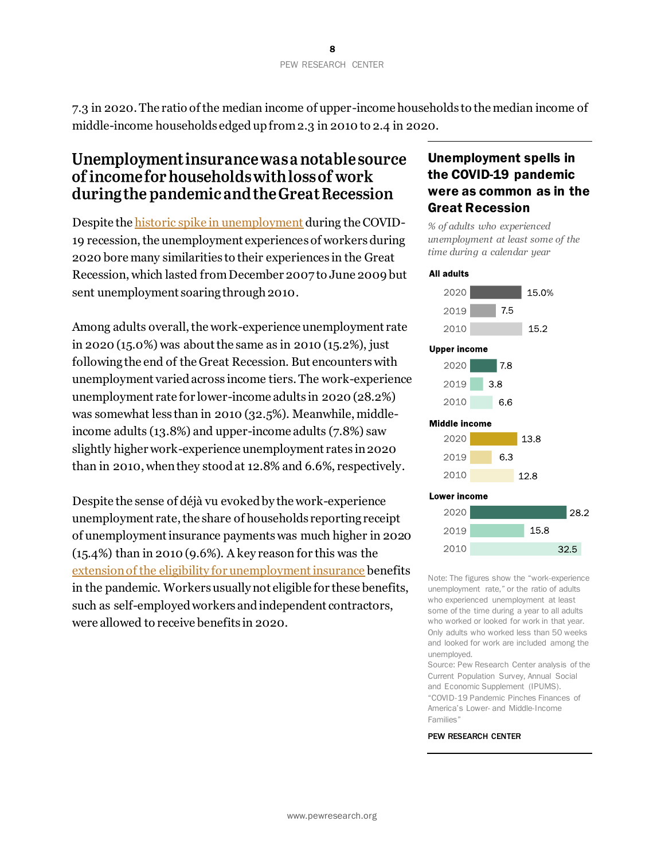7.3 in 2020. The ratio of the median income of upper-income households to the median income of middle-income households edged up from 2.3 in 2010 to 2.4 in 2020.

# Unemployment insurance was a notable source of income for households with loss of work during the pandemic and the Great Recession

Despite th[e historic spike in unemployment](https://www.pewresearch.org/fact-tank/2021/04/14/u-s-labor-market-inches-back-from-the-covid-19-shock-but-recovery-is-far-from-complete/) during the COVID-19 recession, the unemployment experiences of workers during 2020 bore many similarities to their experiences in the Great Recession, which lasted from December 2007 to June 2009 but sent unemployment soaring through 2010.

Among adults overall, the work-experience unemployment rate in 2020 (15.0%) was about the same as in 2010 (15.2%), just following the end of the Great Recession. But encounters with unemployment varied across income tiers. The work-experience unemployment rate for lower-income adults in 2020 (28.2%) was somewhat less than in 2010 (32.5%). Meanwhile, middleincome adults (13.8%) and upper-income adults (7.8%) saw slightly higher work-experience unemployment rates in 2020 than in 2010, when they stood at 12.8% and 6.6%, respectively.

Despite the sense of déjà vu evoked by the work-experience unemployment rate, the share of households reporting receipt of unemployment insurance payments was much higher in 2020 (15.4%) than in 2010 (9.6%). A key reason for this was the extension of [the eligibility for unemployment insurance](https://www.dol.gov/newsroom/releases/eta/eta20200405) benefits in the pandemic. Workers usually not eligible for these benefits, such as self-employed workers and independent contractors, were allowed to receive benefits in 2020.

### Unemployment spells in the COVID-19 pandemic were as common as in the Great Recession

*% of adults who experienced unemployment at least some of the time during a calendar year*

#### **All adults**



Note: The figures show the "work-experience unemployment rate," or the ratio of adults who experienced unemployment at least some of the time during a year to all adults who worked or looked for work in that year. Only adults who worked less than 50 weeks and looked for work are included among the unemployed.

28.2

32.5

Source: Pew Research Center analysis of the Current Population Survey, Annual Social and Economic Supplement (IPUMS). "COVID-19 Pandemic Pinches Finances of America's Lower- and Middle-Income Families"

PEW RESEARCH CENTER

2010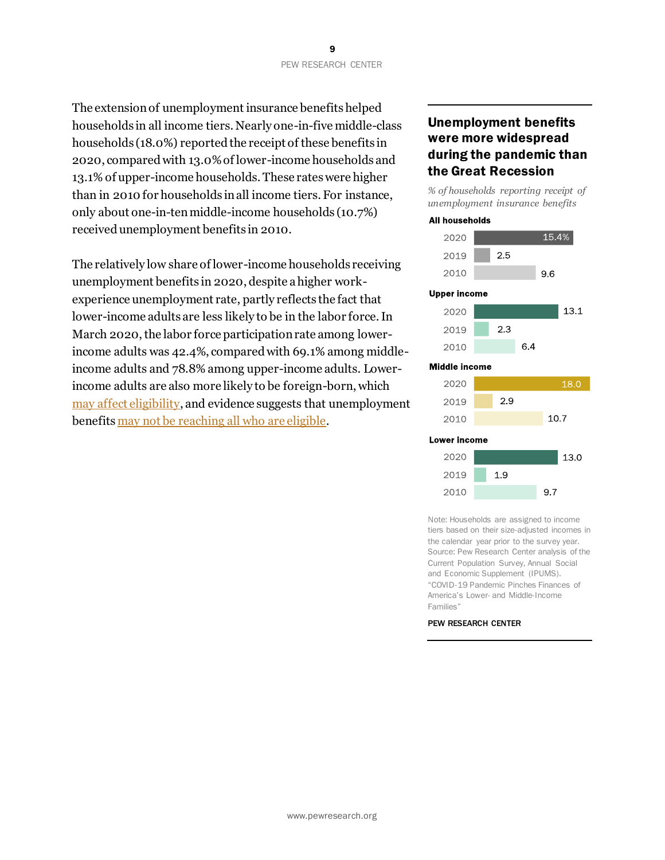The extension of unemployment insurance benefits helped households in all income tiers. Nearly one-in-five middle-class households (18.0%) reported the receipt of these benefits in 2020, compared with 13.0% of lower-income households and 13.1% of upper-income households. These rates were higher than in 2010 for households in all income tiers. For instance, only about one-in-ten middle-income households (10.7%) received unemployment benefits in 2010.

The relatively low share of lower-income households receiving unemployment benefits in 2020, despite a higher workexperience unemployment rate, partly reflects the fact that lower-income adults are less likely to be in the labor force. In March 2020, the labor force participation rate among lowerincome adults was 42.4%, compared with 69.1% among middleincome adults and 78.8% among upper-income adults. Lowerincome adults are also more likely to be foreign-born, which [may affect eligibility,](https://www.nelp.org/publication/immigrant-workers-eligibility-unemployment-insurance/) and evidence suggests that unemployment benefit[s may not be reaching all who are eligible.](https://www.washingtonpost.com/dc-md-va/2022/03/01/dc-virginia-awarded-millions-federal-grants-push-equity-unemployment-benefits/?utm_campaign=wp_local_headlines&utm_medium=email&utm_source=newsletter&wpisrc=nl_lclheads&carta-url=https%3A%2F%2Fs2.washingtonpost.com%2Fcar-ln-tr%2F3633d36%2F621f5b4a9d2fda34e7b52ee0%2F59a36d78ade4e2475f75b181%2F10%2F48%2F621f5b4a9d2fda34e7b52ee0)

### Unemployment benefits were more widespread during the pandemic than the Great Recession

*% of households reporting receipt of unemployment insurance benefits*



#### **Middle income**

| 2.9 |      |
|-----|------|
|     | 10.7 |
|     |      |

#### Lower income



Note: Households are assigned to income tiers based on their size-adjusted incomes in the calendar year prior to the survey year. Source: Pew Research Center analysis of the Current Population Survey, Annual Social and Economic Supplement (IPUMS). "COVID-19 Pandemic Pinches Finances of America's Lower- and Middle-Income Families"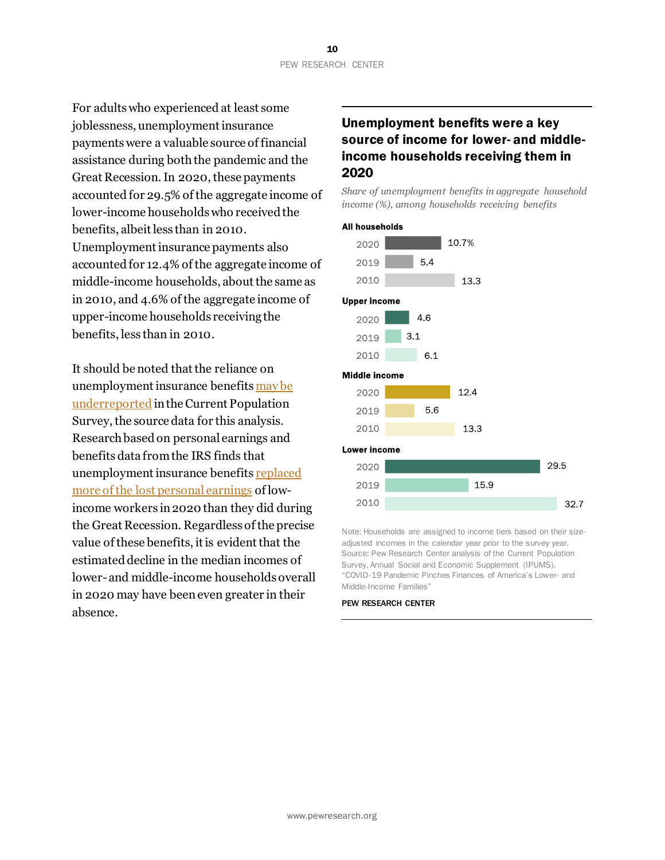For adults who experienced at least some joblessness, unemployment insurance payments were a valuable source of financial assistance during both the pandemic and the Great Recession.In 2020, these payments accounted for 29.5% of the aggregate income of lower-income households who received the benefits, albeit less than in 2010. Unemployment insurance payments also accounted for 12.4% of the aggregate income of middle-income households, about the same as in 2010, and 4.6% of the aggregate income of upper-income households receiving the benefits, less than in 2010.

It should be noted that the reliance on unemployment insurance benefits [may be](https://harris.uchicago.edu/files/underreporting.pdf)  [underreported](https://harris.uchicago.edu/files/underreporting.pdf) in the Current Population Survey, the source data for this analysis. Research based on personal earnings and benefits data from the IRS finds that unemployment insurance benefit[s replaced](https://www.federalreserve.gov/econres/feds/files/2021052pap.pdf)  [more of the lost](https://www.federalreserve.gov/econres/feds/files/2021052pap.pdf) personal earnings of lowincome workers in 2020 than they did during the Great Recession. Regardless of the precise value of these benefits, it is evident that the estimated decline in the median incomes of lower-and middle-income households overall in 2020 may have beeneven greater in their absence.

# Unemployment benefits were a key source of income for lower- and middleincome households receiving them in 2020

*Share of unemployment benefits in aggregate household income (%), among households receiving benefits*

#### **All households**





Note: Households are assigned to income tiers based on their sizeadjusted incomes in the calendar year prior to the survey year. Source: Pew Research Center analysis of the Current Population Survey, Annual Social and Economic Supplement (IPUMS). "COVID-19 Pandemic Pinches Finances of America's Lower- and Middle-Income Families"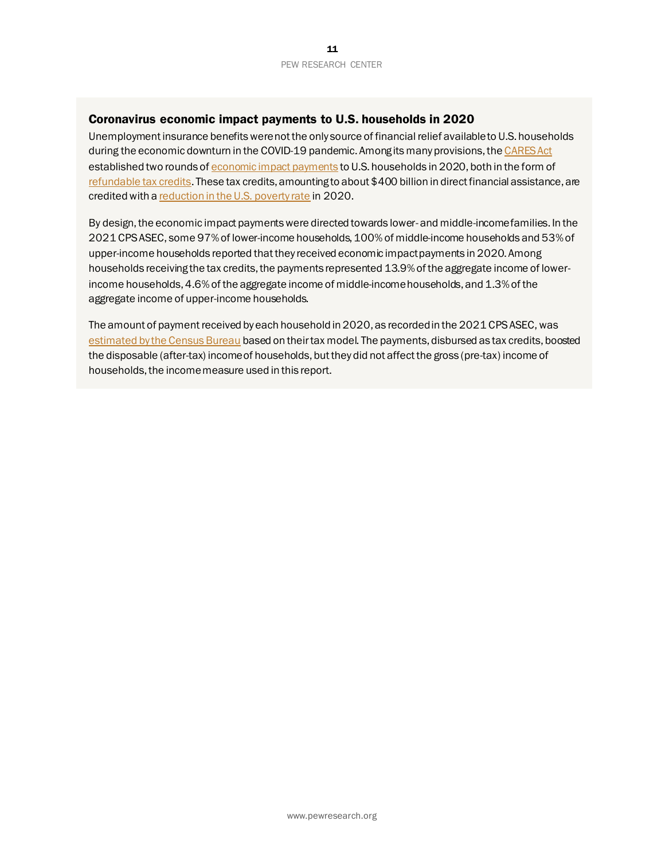#### Coronavirus economic impact payments to U.S. households in 2020

Unemployment insurance benefits were not the only source of financial relief available to U.S. households during the economic downturn in the COVID-19 pandemic. Among its many provisions, th[e CARES Act](https://oig.treasury.gov/cares-act) established two rounds o[f economic impact payments](https://www.irs.gov/statistics/soi-tax-stats-coronavirus-aid-relief-and-economic-security-act-cares-act-statistics) to U.S. households in 2020, both in the form of [refundable tax credits](https://www.fool.com/taxes/2020/02/15/your-2020-guide-to-tax-credits.aspx). These tax credits, amounting to about \$400 billion in direct financial assistance, are credited with [a reduction in the U.S. poverty rate](https://www.census.gov/library/publications/2021/demo/p60-275.html) in 2020.

By design, the economic impact payments were directed towards lower- and middle-income families. In the 2021 CPS ASEC, some 97% of lower-income households, 100% of middle-income households and 53% of upper-income households reported that they received economic impact payments in 2020. Among households receiving the tax credits, the payments represented 13.9% of the aggregate income of lowerincome households, 4.6% of the aggregate income of middle-income households, and 1.3% of the aggregate income of upper-income households.

The amount of payment received by each householdin 2020, as recorded in the 2021 CPS ASEC, was [estimated by the Census Bureau](https://www.census.gov/library/working-papers/2021/demo/SEHSD-WP2021-18.html) based on their tax model. The payments, disbursed as tax credits, boosted the disposable (after-tax) income of households, but they did not affect the gross (pre-tax) income of households, the income measure used in this report.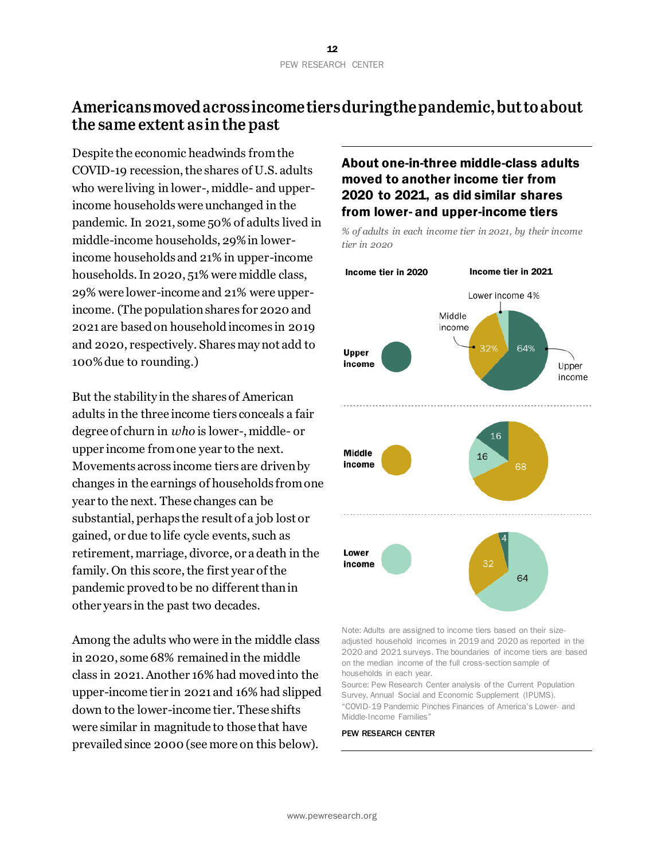# Americans moved across income tiers during the pandemic, but to about the same extent as in the past

Despite the economic headwinds from the COVID-19 recession, the shares of U.S. adults who were living in lower-, middle- and upperincome households were unchanged in the pandemic. In 2021, some 50% of adults lived in middle-income households, 29% in lowerincome households and 21% in upper-income households. In 2020, 51% were middle class, 29% were lower-income and 21% were upperincome. (The population shares for 2020 and 2021 are based on household incomes in 2019 and 2020, respectively. Shares may not add to 100% due to rounding.)

But the stability in the shares of American adults in the three income tiers conceals a fair degree of churn in *who* is lower-, middle- or upper income from one year to the next. Movements across income tiers are driven by changes in the earnings of households from one year to the next. These changes can be substantial, perhaps the result of a job lost or gained, or due to life cycle events, such as retirement, marriage, divorce, or a death in the family. On this score, the first year of the pandemic proved to be no different than in other years in the past two decades.

Among the adults who were in the middle class in 2020, some 68% remained in the middle class in 2021. Another 16% had moved into the upper-income tier in 2021 and 16% had slipped down to the lower-income tier. These shifts were similar in magnitude to those that have prevailed since 2000 (see more on this below).

### About one-in-three middle-class adults moved to another income tier from 2020 to 2021, as did similar shares from lower- and upper-income tiers



*% of adults in each income tier in 2021, by their income tier in 2020*

Note: Adults are assigned to income tiers based on their sizeadjusted household incomes in 2019 and 2020 as reported in the 2020 and 2021 surveys. The boundaries of income tiers are based on the median income of the full cross-section sample of households in each year.

Source: Pew Research Center analysis of the Current Population Survey, Annual Social and Economic Supplement (IPUMS). "COVID-19 Pandemic Pinches Finances of America's Lower- and Middle-Income Families"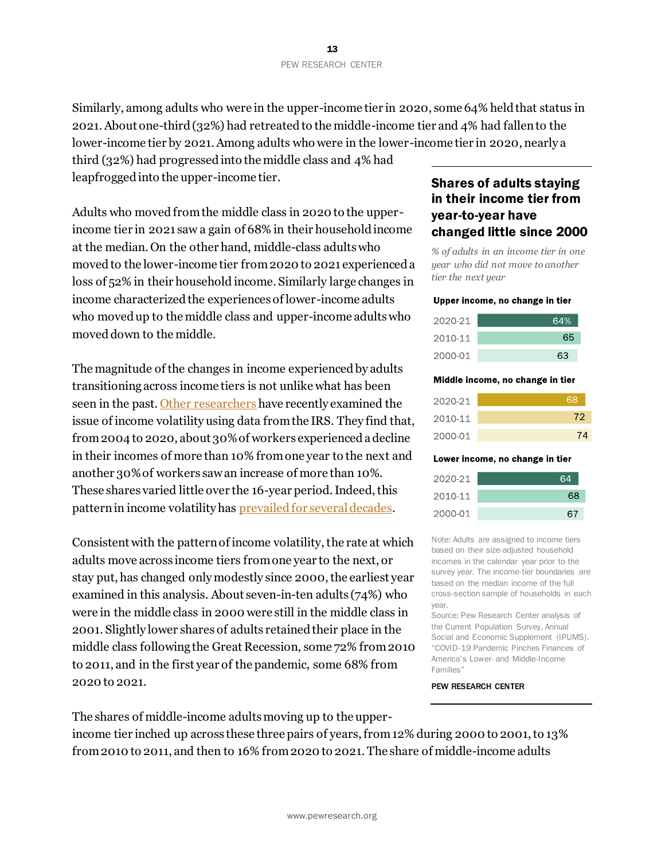Similarly, among adults who were in the upper-income tier in 2020, some 64% held that status in 2021. About one-third (32%) had retreated to the middle-income tier and 4% had fallen to the lower-income tier by 2021. Among adults who were in the lower-income tier in 2020, nearly a

third (32%) had progressed into the middle class and 4% had leapfrogged into the upper-income tier.

Adults who moved from the middle class in 2020 to the upperincome tier in 2021 saw a gain of 68% in their household income at the median. On the other hand, middle-class adults who moved to the lower-income tier from 2020 to 2021 experienced a loss of 52% in their household income. Similarly large changes in income characterized the experiences of lower-income adults who moved up to the middle class and upper-income adults who moved down to the middle.

The magnitude of the changes in income experienced by adults transitioning across income tiers is not unlike what has been seen in the past[. Other researchers](https://www.federalreserve.gov/econres/feds/files/2021052pap.pdf) have recently examined the issue of income volatility using data from the IRS. They find that, from 2004 to 2020, about 30% of workers experienced a decline in their incomes of more than 10% from one year to the next and another 30% of workers saw an increase of more than 10%. These shares varied little over the 16-year period. Indeed, this pattern in income volatility has prevailed [for several decades.](https://www.cbo.gov/sites/default/files/110th-congress-2007-2008/reports/04-17-earningsvariability.pdf)

Consistent with the pattern of income volatility, the rate at which adults move across income tiers from one year to the next, or stay put, has changed only modestly since 2000, the earliest year examined in this analysis. About seven-in-ten adults (74%) who were in the middle class in 2000 were still in the middle class in 2001. Slightly lower shares of adults retained their place in the middle class following the Great Recession, some 72% from 2010 to 2011, and in the first year of the pandemic, some 68% from 2020 to 2021.

The shares of middle-income adults moving up to the upper-

income tier inched up across these three pairs of years, from 12% during 2000 to 2001, to 13% from2010 to 2011, and then to 16% from 2020 to 2021. The share of middle-income adults

### Shares of adults staying in their income tier from year-to-year have changed little since 2000

*% of adults in an income tier in one year who did not move to another tier the next year*

#### Upper income, no change in tier

| 2020-21 | 64% |
|---------|-----|
| 2010-11 | 65  |
| 2000-01 | 63  |

#### Middle income, no change in tier

| 2020-21 | 68 |
|---------|----|
| 2010-11 | 72 |
| 2000-01 | 74 |

#### Lower income, no change in tier

| 2020-21 | 64 |
|---------|----|
| 2010-11 | 68 |
| 2000-01 | 67 |

Note: Adults are assigned to income tiers based on their size-adjusted household incomes in the calendar year prior to the survey year. The income-tier boundaries are based on the median income of the full cross-section sample of households in each year.

Source: Pew Research Center analysis of the Current Population Survey, Annual Social and Economic Supplement (IPUMS). "COVID-19 Pandemic Pinches Finances of America's Lower- and Middle-Income Families"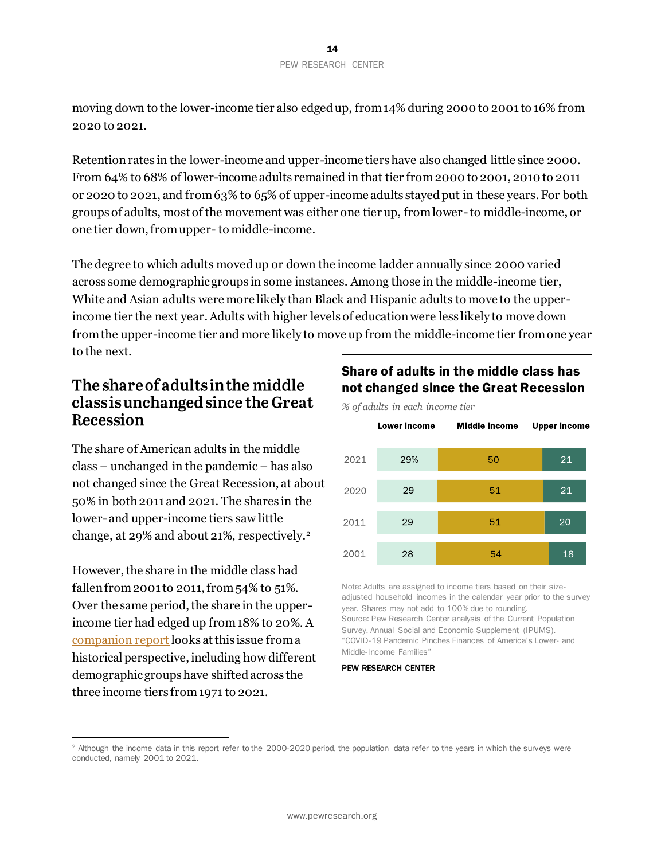moving down to the lower-income tier also edged up, from 14% during 2000 to 2001 to 16% from 2020 to 2021.

Retention rates in the lower-income and upper-income tiers have also changed little since 2000. From 64% to 68% of lower-income adults remained in that tier from 2000 to 2001, 2010 to 2011 or 2020 to 2021, and from63% to 65% of upper-income adults stayed put in these years. For both groups of adults, most of the movement was either one tier up, from lower-to middle-income, or one tier down, from upper- to middle-income.

The degree to which adults movedup or down the income ladder annually since 2000 varied across some demographic groups in some instances. Among those in the middle-income tier, White and Asian adults were more likely than Black and Hispanic adults to move to the upperincome tier the next year.Adults with higher levels of education were less likely to move down from the upper-income tier and more likely to move up from the middle-income tier from one year to the next.

# The share of adults in the middle class is unchanged since the Great Recession

The share of American adults in the middle class – unchanged in the pandemic – has also not changed since the Great Recession, at about 50% in both 2011 and 2021. The shares in the lower-and upper-income tiers saw little change, at 29% and about 21%, respectively.<sup>2</sup>

However, the share in the middle class had fallen from 2001 to 2011, from 54% to 51%. Over the same period, the share in the upperincome tier had edged up from 18% to 20%. A [companion report](https://www.pewresearch.org/fact-tank/2022/04/20/how-the-american-middle-class-has-changed-in-the-past-five-decades/)looks at this issue from a historical perspective, including how different demographic groups have shifted across the three income tiers from 1971 to 2021.

# Share of adults in the middle class has not changed since the Great Recession



Note: Adults are assigned to income tiers based on their sizeadjusted household incomes in the calendar year prior to the survey year. Shares may not add to 100% due to rounding. Source: Pew Research Center analysis of the Current Population Survey, Annual Social and Economic Supplement (IPUMS). "COVID-19 Pandemic Pinches Finances of America's Lower- and Middle-Income Families"

<sup>&</sup>lt;sup>2</sup> Although the income data in this report refer to the 2000-2020 period, the population data refer to the years in which the surveys were conducted, namely 2001 to 2021.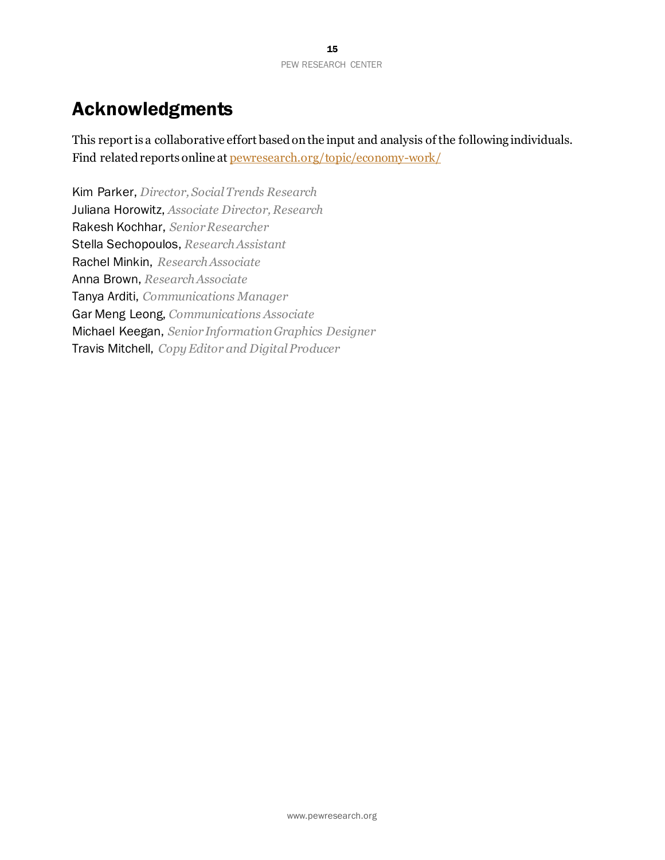# Acknowledgments

This report is a collaborative effort based on the input and analysis of the following individuals. Find related reports online at [pewresearch.org/topic/economy-work/](https://www.pewresearch.org/topic/economy-work/)

Kim Parker, *Director, Social Trends Research* Juliana Horowitz, *Associate Director, Research* Rakesh Kochhar, *Senior Researcher* Stella Sechopoulos, *Research Assistant* Rachel Minkin, *Research Associate* Anna Brown, *Research Associate* Tanya Arditi, *Communications Manager* Gar Meng Leong, *Communications Associate* Michael Keegan, *Senior Information Graphics Designer* Travis Mitchell, *Copy Editor and Digital Producer*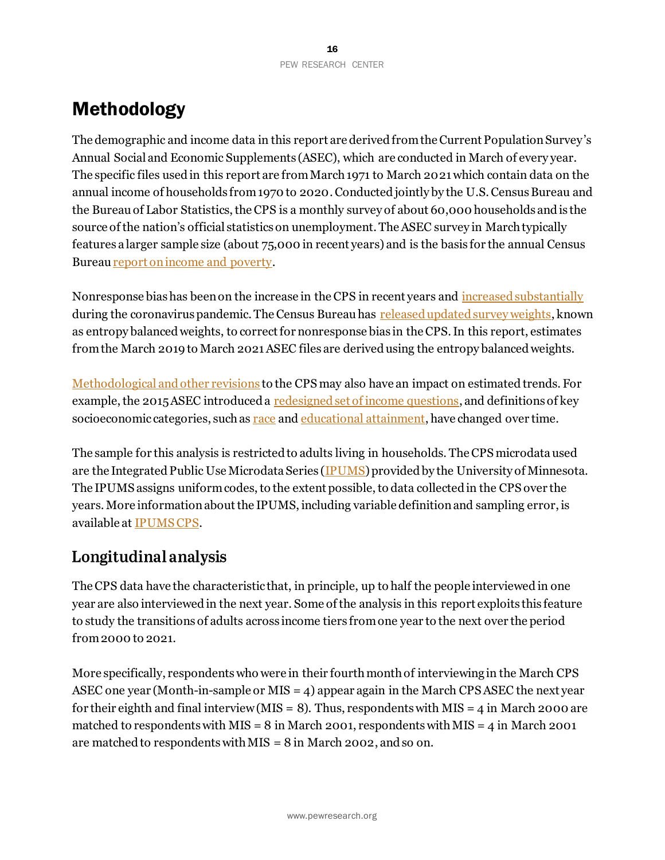# Methodology

The demographic and income data in this report are derived from the Current Population Survey's Annual Social and Economic Supplements (ASEC), which are conducted in March of every year. The specific files used in this report are from March 1971 to March 2021which contain data on the annual income of households from 1970 to 2020. Conducted jointly by the U.S. Census Bureau and the Bureau of Labor Statistics, the CPS is a monthly survey of about 60,000 households and is the source of the nation's official statistics on unemployment. The ASEC survey in March typically features a larger sample size (about 75,000 in recent years) and is the basis for the annual Census Burea[u report on income and poverty.](https://www.census.gov/library/publications/2021/demo/p60-273.html)

Nonresponse bias has been on the increase in the CPS in recent years and [increased substantially](https://www.census.gov/library/working-papers/2020/demo/SEHSD-WP2020-10.html) during the coronavirus pandemic. The Census Bureau has [released updated survey weights,](https://www.census.gov/data/datasets/2020/demo/cps/2020-pub-use-adj-nonresp-corono-pandemic.html) known as entropy balanced weights, to correct for nonresponse bias in the CPS. In this report, estimates from the March 2019 to March 2021 ASEC files are derived using the entropy balanced weights.

[Methodological and other revisions](https://www.bls.gov/cps/rvcps03.pdf) to the CPS may also have an impact on estimated trends. For example, the 2015 ASEC introduced a [redesigned set of income questions,](https://www.census.gov/library/publications/2015/demo/p60-252.html) and definitions of key socioeconomic categories, such as [race](https://www.pewresearch.org/fact-tank/2020/02/25/the-changing-categories-the-u-s-has-used-to-measure-race/) and [educational attainment,](https://www.census.gov/topics/education/educational-attainment/about.html) have changed over time.

The sample for this analysis is restricted to adults living in households. The CPS microdata used are the Integrated Public Use Microdata Series [\(IPUMS\)](https://cps.ipums.org/cps/) provided by the University of Minnesota. The IPUMS assigns uniform codes, to the extent possible, to data collected in the CPS over the years. More information about the IPUMS, including variable definition and sampling error, is available at [IPUMS CPS.](https://cps.ipums.org/cps/documentation.shtml)

# Longitudinal analysis

The CPS data have the characteristic that, in principle, up to half the people interviewed in one year are also interviewed in the next year. Some of the analysis in this report exploits this feature to study the transitions of adults across income tiers from one year to the next over the period from 2000 to 2021.

More specifically, respondents who were in their fourth month of interviewing in the March CPS ASEC one year (Month-in-sample or MIS  $=$  4) appear again in the March CPS ASEC the next year for their eighth and final interview (MIS = 8). Thus, respondents with MIS = 4 in March 2000 are matched to respondents with MIS =  $8$  in March 2001, respondents with MIS =  $4$  in March 2001 are matched to respondents with MIS  $= 8$  in March 2002, and so on.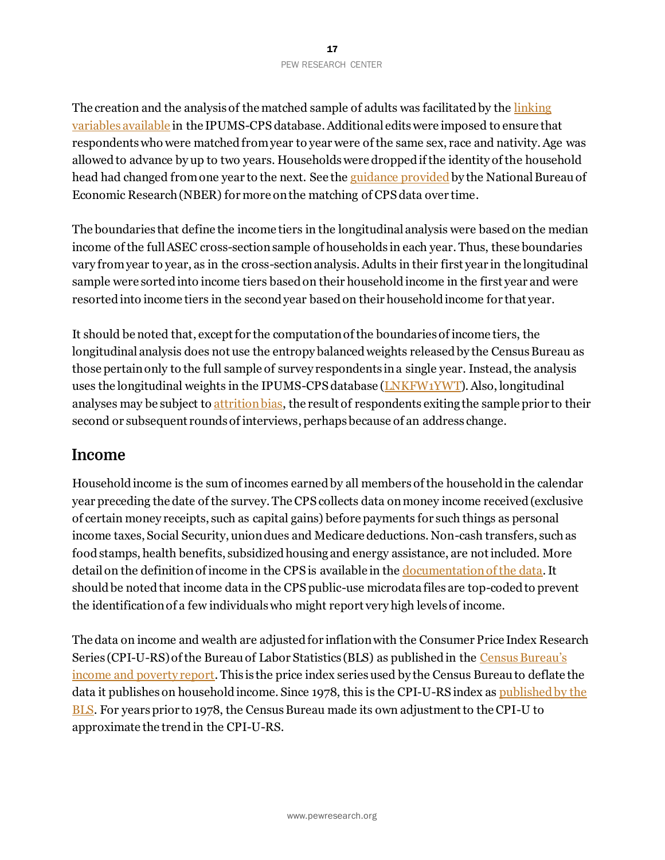The creation and the analysis of the matched sample of adults was facilitated by the linking [variables](https://cps.ipums.org/cps/cps_linking_documentation.shtml) available in the IPUMS-CPS database. Additional edits were imposed to ensure that respondents who were matched from year to year were of the same sex, race and nativity. Age was allowed to advance by up to two years. Households were dropped if the identity of the household head had changed from one year to the next. See th[e guidance provided](https://www2.nber.org/data/cps_match.html) by the National Bureau of Economic Research (NBER) for more on the matching of CPS data over time.

The boundaries that define the income tiers in the longitudinal analysis were based on the median income of the full ASEC cross-section sample of households in each year. Thus, these boundaries vary from year to year, as in the cross-section analysis. Adults in their first year in the longitudinal sample were sorted into income tiers based on their household income in the first year and were resorted into income tiers in the second year based on their household income for that year.

It should be noted that, except for the computation of the boundaries of income tiers, the longitudinal analysis does not use the entropy balanced weights released by the Census Bureau as those pertain only to the full sample of survey respondents in a single year. Instead, the analysis uses the longitudinal weights in the IPUMS-CPS database [\(LNKFW1YWT](https://cps.ipums.org/cps-action/variables/LNKFW1YWT#codes_section)). Also, longitudinal analyses may be subject to [attrition bias,](https://www.nber.org/system/files/working_papers/w8663/w8663.pdf) the result of respondents exiting the sample prior to their second or subsequent rounds of interviews, perhaps because of an address change.

# **Income**

Household income is the sum of incomes earned by all members of the household in the calendar year preceding the date of the survey. The CPS collects data on money income received (exclusive of certain money receipts, such as capital gains) before payments for such things as personal income taxes, Social Security, union dues and Medicare deductions. Non-cash transfers, such as food stamps, health benefits, subsidized housing and energy assistance, are not included. More detail on the definition of income in the CPS is available in th[e documentation of the data.](https://www.census.gov/programs-surveys/cps/technical-documentation/complete.html) It should be noted that income data in the CPS public-use microdata files are top-coded to prevent the identification of a few individuals who might report very high levels of income.

The data on income and wealth are adjusted for inflation with the Consumer Price Index Research Series (CPI-U-RS) of the Bureau of Labor Statistics (BLS) as published in the [Census Bureau's](https://www.census.gov/library/publications/2021/demo/p60-273.html)  [income and poverty report.](https://www.census.gov/library/publications/2021/demo/p60-273.html) This is the price index series used by the Census Bureau to deflate the data it publishes on household income. Since 1978, this is the CPI-U-RS index as published by the [BLS.](https://www.bls.gov/cpi/research-series/r-cpi-u-rs-home.htm) For years prior to 1978, the Census Bureau made its own adjustment to the CPI-U to approximate the trend in the CPI-U-RS.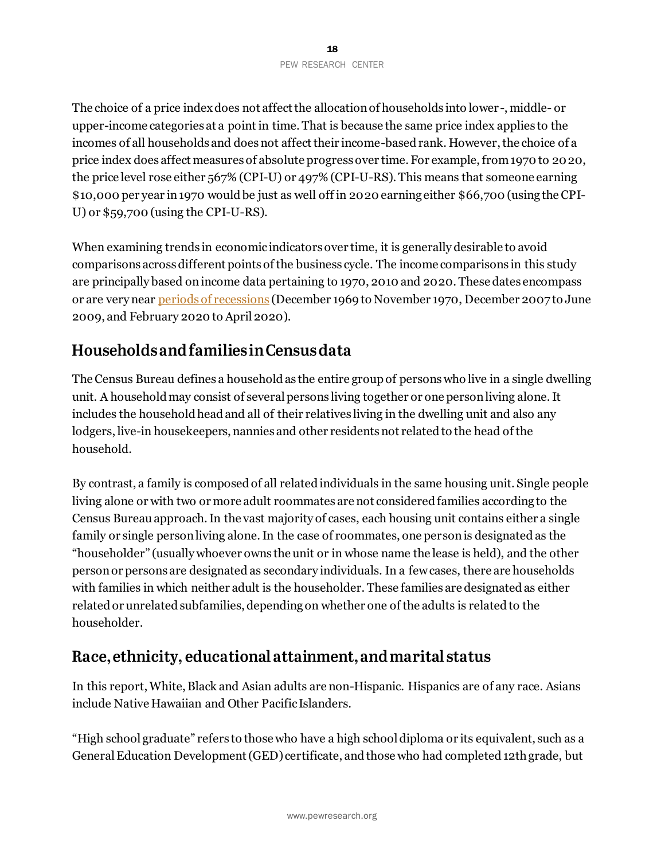The choice of a price index does not affect the allocation of households into lower-, middle- or upper-income categories at a point in time. That is because the same price index applies to the incomes of all households and does not affect their income-based rank. However, the choice of a price index does affect measures of absolute progress over time. For example, from 1970 to 2020, the price level rose either 567% (CPI-U) or 497% (CPI-U-RS). This means that someone earning \$10,000 per year in 1970 would be just as well off in 2020 earning either \$66,700 (using the CPI-U) or \$59,700 (using the CPI-U-RS).

When examining trends in economic indicators over time, it is generally desirable to avoid comparisons across different points of the business cycle. The income comparisons in this study are principally based on income data pertaining to 1970, 2010 and 2020. These dates encompass or are very near [periods of recessions](https://www.nber.org/research/data/us-business-cycle-expansions-and-contractions) (December 1969 to November 1970, December 2007 to June 2009, and February 2020 to April 2020).

# Households and families in Census data

The Census Bureau defines a household as the entire group of persons who live in a single dwelling unit. A household may consist of several persons living together or one person living alone. It includes the household head and all of their relatives living in the dwelling unit and also any lodgers, live-in housekeepers, nannies and other residents not related to the head of the household.

By contrast, a family is composed of all related individuals in the same housing unit. Single people living alone or with two or more adult roommates are not considered families according to the Census Bureau approach. In the vast majority of cases, each housing unit contains either a single family or single person living alone. In the case of roommates, one person is designated as the "householder" (usually whoever owns the unit or in whose name the lease is held), and the other person or persons are designated as secondary individuals. In a few cases, there are households with families in which neither adult is the householder. These families are designated as either related or unrelated subfamilies, depending on whether one of the adults is related to the householder.

# Race, ethnicity, educational attainment, and marital status

In this report, White, Black and Asian adults are non-Hispanic. Hispanics are of any race. Asians include Native Hawaiian and Other Pacific Islanders.

"High school graduate" refers to those who have a high school diploma or its equivalent, such as a General Education Development (GED) certificate, and those who had completed 12th grade, but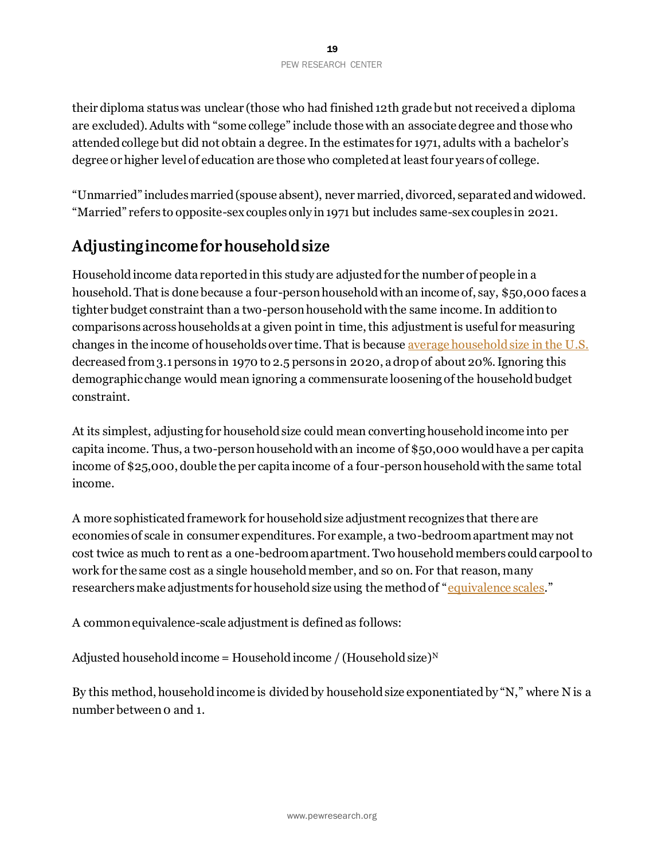their diploma status was unclear (those who had finished 12th grade but not received a diploma are excluded). Adults with "some college" include those with an associate degree and those who attended college but did not obtain a degree. In the estimates for 1971, adults with a bachelor's degree or higher level of education are those who completed at least four years of college.

"Unmarried" includes married (spouse absent), never married, divorced, separated and widowed. "Married" refers to opposite-sex couples only in 1971 but includes same-sex couples in 2021.

# Adjusting income for household size

Household income data reported in this study are adjusted for the number of people in a household. That is done because a four-person household with an income of, say, \$50,000 faces a tighter budget constraint than a two-person household with the same income. In addition to comparisons across households at a given point in time, this adjustment is useful for measuring changes in the income of households over time. That is becaus[e average household size in the U.S.](https://www.census.gov/data/tables/time-series/demo/families/households.html) decreased from 3.1persons in 1970 to 2.5 persons in 2020, a drop of about 20%. Ignoring this demographic change would mean ignoring a commensurate loosening of the household budget constraint.

At its simplest, adjusting for household size could mean converting household income into per capita income. Thus, a two-person household with an income of \$50,000 would have a per capita income of \$25,000, double the per capita income of a four-person household with the same total income.

A more sophisticated framework for household size adjustment recognizes that there are economies of scale in consumer expenditures. For example, a two-bedroom apartment may not cost twice as much to rent as a one-bedroom apartment. Two household members could carpool to work for the same cost as a single household member, and so on. For that reason, many researchers make adjustments for household size using the method of "[equivalence scales](https://www.oecd.org/economy/growth/OECD-Note-EquivalenceScales.pdf)."

A common equivalence-scale adjustment is defined as follows:

Adjusted household income = Household income / (Household size)<sup>N</sup>

By this method, household income is divided by household size exponentiated by "N," where N is a number between 0 and 1.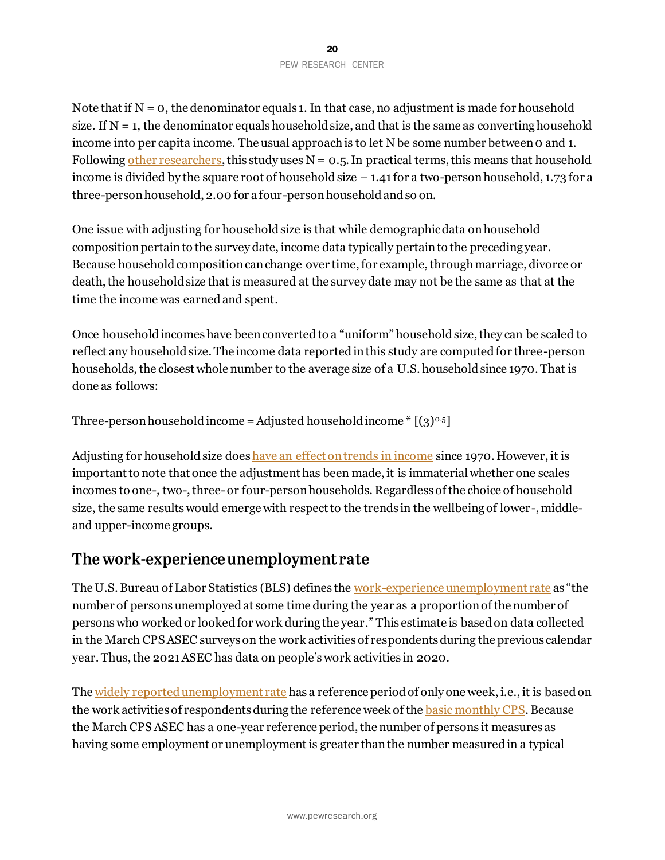Note that if  $N = 0$ , the denominator equals 1. In that case, no adjustment is made for household size. If  $N = 1$ , the denominator equals household size, and that is the same as converting household income into per capita income. The usual approach is to let N be some number between 0 and 1. Followin[g other researchers](https://www.bls.gov/opub/mlr/2005/04/art2full.pdf), this study uses  $N = 0.5$ . In practical terms, this means that household income is divided by the square root of household size  $-1.41$  for a two-person household, 1.73 for a three-person household, 2.00 for a four-person household and so on.

One issue with adjusting for household size is that while demographic data on household composition pertain to the survey date, income data typically pertain to the preceding year. Because household composition can change over time, for example, through marriage, divorce or death, the household size that is measured at the survey date may not be the same as that at the time the income was earned and spent.

Once household incomes have been converted to a "uniform" household size, they can be scaled to reflect any household size. The income data reported in this study are computed for three-person households, the closest whole number to the average size of a U.S. household since 1970. That is done as follows:

```
Three-person household income = Adjusted household income * [(3)^{0.5}]
```
Adjusting for household size does have [an effect on trends](https://www.pewresearch.org/social-trends/2015/12/09/the-american-middle-class-is-losing-ground/) in income since 1970. However, it is important to note that once the adjustment has been made, it is immaterial whether one scales incomes to one-, two-, three-or four-person households. Regardless of the choice of household size, the same results would emerge with respect to the trends in the wellbeing of lower-, middleand upper-income groups.

# The work-experience unemployment rate

The U.S. Bureau of Labor Statistics (BLS) defines the [work-experience unemployment rate](https://www.bls.gov/news.release/work.toc.htm) as "the number of persons unemployed at some time during the year as a proportion of the number of persons who worked or looked for work during the year." This estimate is based on data collected in the March CPS ASEC surveys on the work activities of respondents during the previous calendar year. Thus, the 2021 ASEC has data on people's work activities in 2020.

The [widely reported unemployment rate](https://www.bls.gov/cps/faq.htm#Ques3) has a reference period of only one week, i.e., it is based on the work activities of respondents during the reference week of th[e basic monthly CPS.](https://www.bls.gov/cps/cps_over.htm#source) Because the March CPS ASEC has a one-year reference period, the number of persons it measures as having some employment or unemployment is greater thanthe number measured in a typical